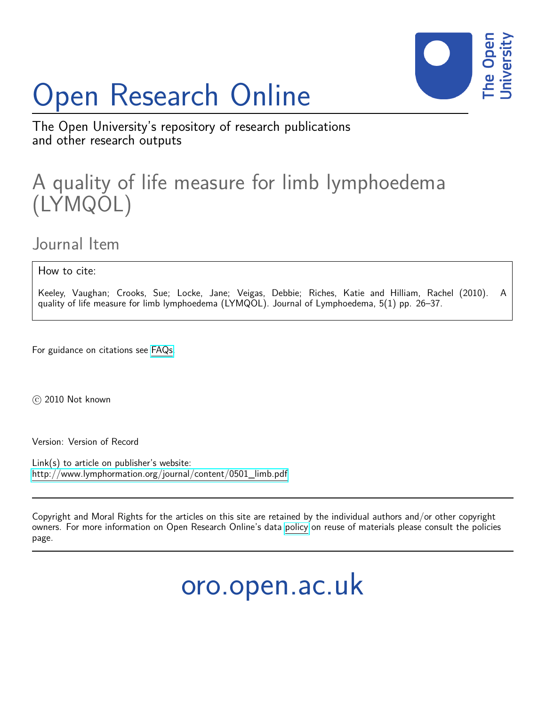# Open Research Online



The Open University's repository of research publications and other research outputs

### A quality of life measure for limb lymphoedema (LYMQOL)

Journal Item

How to cite:

Keeley, Vaughan; Crooks, Sue; Locke, Jane; Veigas, Debbie; Riches, Katie and Hilliam, Rachel (2010). A quality of life measure for limb lymphoedema (LYMQOL). Journal of Lymphoedema, 5(1) pp. 26–37.

For guidance on citations see [FAQs.](http://oro.open.ac.uk/help/helpfaq.html)

 $(c)$  2010 Not known

Version: Version of Record

Link(s) to article on publisher's website: [http://www.lymphormation.org/journal/content/0501\\_limb.pdf](http://www.lymphormation.org/journal/content/0501_limb.pdf)

Copyright and Moral Rights for the articles on this site are retained by the individual authors and/or other copyright owners. For more information on Open Research Online's data [policy](http://oro.open.ac.uk/policies.html) on reuse of materials please consult the policies page.

oro.open.ac.uk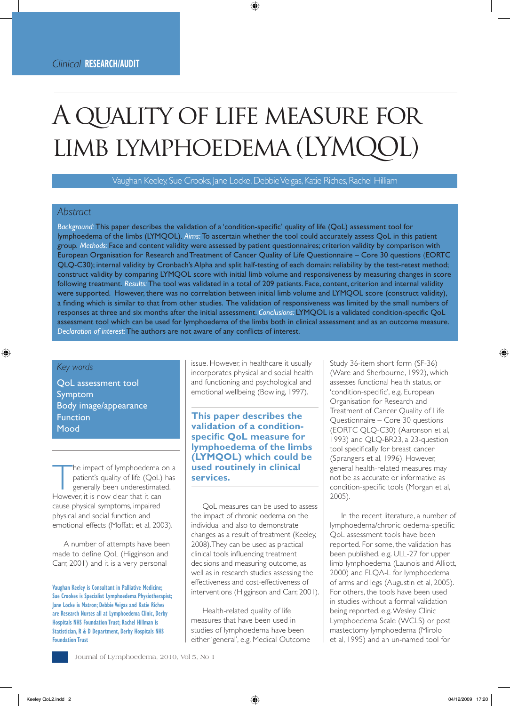## A quality of life measure for LIMB LYMPHOEDEMA (LYMQC

Vaughan Keeley, Sue Crooks, Jane Locke, Debbie Veigas, Katie Riches, Rachel Hilliam

#### *Abstract*

*Background:* This paper describes the validation of a 'condition-specific' quality of life (QoL) assessment tool for lymphoedema of the limbs (LYMQOL). *Aims:* To ascertain whether the tool could accurately assess QoL in this patient group. *Methods:* Face and content validity were assessed by patient questionnaires; criterion validity by comparison with European Organisation for Research and Treatment of Cancer Quality of Life Questionnaire – Core 30 questions (EORTC QLQ-C30); internal validity by Cronbach's Alpha and split half-testing of each domain; reliability by the test-retest method; construct validity by comparing LYMQOL score with initial limb volume and responsiveness by measuring changes in score following treatment. *Results:* The tool was validated in a total of 209 patients. Face, content, criterion and internal validity were supported. However, there was no correlation between initial limb volume and LYMQOL score (construct validity), a finding which is similar to that from other studies. The validation of responsiveness was limited by the small numbers of responses at three and six months after the initial assessment. *Conclusions:* LYMQOL is a validated condition-specific QoL assessment tool which can be used for lymphoedema of the limbs both in clinical assessment and as an outcome measure. *Declaration of interest:* The authors are not aware of any conflicts of interest.

#### *Key words*

QoL assessment tool Symptom Body image/appearance Function Mood

The impact of lymphoedema on a<br>
patient's quality of life (QoL) has<br>
generally been underestimated.<br>
However it is now clear that it can patient's quality of life (QoL) has However, it is now clear that it can cause physical symptoms, impaired physical and social function and emotional effects (Moffatt et al, 2003).

A number of attempts have been made to define QoL (Higginson and Carr, 2001) and it is a very personal

**Vaughan Keeley is Consultant in Palliative Medicine; Sue Crookes is Specialist Lymphoedema Physiotherapist; Jane Locke is Matron; Debbie Veigas and Katie Riches are Research Nurses all at Lymphoedema Clinic, Derby Hospitals NHS Foundation Trust; Rachel Hillman is Statistician, R & D Department, Derby Hospitals NHS Foundation Trust**

issue. However, in healthcare it usually incorporates physical and social health and functioning and psychological and emotional wellbeing (Bowling, 1997).

**This paper describes the validation of a conditionspecific QoL measure for lymphoedema of the limbs (LYMQOL) which could be used routinely in clinical services.**

QoL measures can be used to assess the impact of chronic oedema on the individual and also to demonstrate changes as a result of treatment (Keeley, 2008). They can be used as practical clinical tools influencing treatment decisions and measuring outcome, as well as in research studies assessing the effectiveness and cost-effectiveness of interventions (Higginson and Carr, 2001).

Health-related quality of life measures that have been used in studies of lymphoedema have been either 'general', e.g. Medical Outcome

Study 36-item short form (SF-36) (Ware and Sherbourne, 1992), which assesses functional health status, or 'condition-specific', e.g. European Organisation for Research and Treatment of Cancer Quality of Life Questionnaire – Core 30 questions (EORTC QLQ-C30) (Aaronson et al, 1993) and QLQ-BR23, a 23-question tool specifically for breast cancer (Sprangers et al, 1996). However, general health-related measures may not be as accurate or informative as condition-specific tools (Morgan et al, 2005).

In the recent literature, a number of lymphoedema/chronic oedema-specific QoL assessment tools have been reported. For some, the validation has been published, e.g. ULL-27 for upper limb lymphoedema (Launois and Alliott, 2000) and FLQA-L for lymphoedema of arms and legs (Augustin et al, 2005). For others, the tools have been used in studies without a formal validation being reported, e.g. Wesley Clinic Lymphoedema Scale (WCLS) or post mastectomy lymphoedema (Mirolo et al, 1995) and an un-named tool for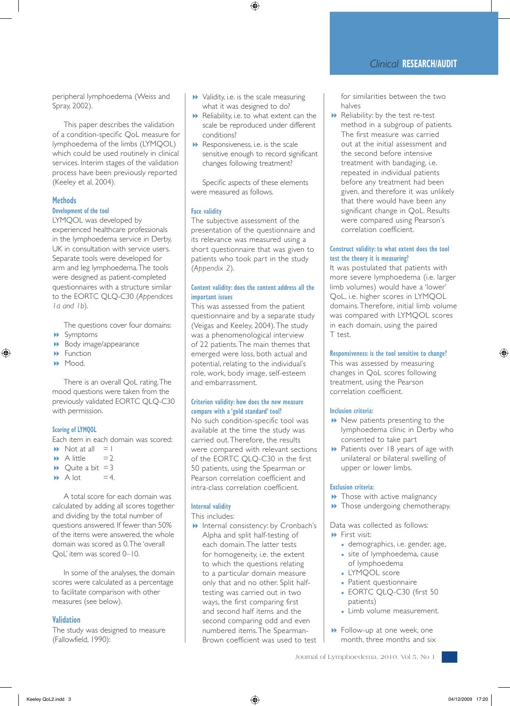peripheral lymphoedema (Weiss and Spray, 2002).

This paper describes the validation of a condition-specific QoL measure for lymphoedema of the limbs (LYMQOL) which could be used routinely in clinical services. Interim stages of the validation process have been previously reported (Keeley et al, 2004).

#### **Methods**

#### **Development of the tool**

LYMQOL was developed by experienced healthcare professionals in the lymphoedema service in Derby, UK in consultation with service users. Separate tools were developed for arm and leg lymphoedema. The tools were designed as patient-completed questionnaires with a structure similar to the EORTC QLQ-C30 (*Appendices 1a and 1b*).

The questions cover four domains: 8 Symptoms

- Body image/appearance
- $\rightarrow$  Function
- 8 Mood.

There is an overall QoL rating. The mood questions were taken from the previously validated EORTC QLQ-C30 with permission.

#### **Scoring of LYMQOL**

Each item in each domain was scored:

- $\blacktriangleright$  Not at all  $=1$
- $\blacktriangleright$  A little  $=2$
- $\rightarrow$  Quite a bit = 3
- $\rightarrow$  A lot =4.

A total score for each domain was calculated by adding all scores together and dividing by the total number of questions answered. If fewer than 50% of the items were answered, the whole domain was scored as 0. The 'overall QoL' item was scored 0–10.

In some of the analyses, the domain scores were calculated as a percentage to facilitate comparison with other measures (see below).

#### **Validation**

The study was designed to measure (Fallowfield, 1990):

- $\rightarrow$  Validity, i.e. is the scale measuring what it was designed to do?
- $\blacktriangleright$  Reliability, i.e. to what extent can the scale be reproduced under different conditions?
- $\blacktriangleright$  Responsiveness, i.e. is the scale sensitive enough to record significant changes following treatment?

Specific aspects of these elements were measured as follows.

#### **Face validity**

The subjective assessment of the presentation of the questionnaire and its relevance was measured using a short questionnaire that was given to patients who took part in the study (*Appendix 2*).

#### **Content validity: does the content address all the important issues**

This was assessed from the patient questionnaire and by a separate study (Veigas and Keeley, 2004). The study was a phenomenological interview of 22 patients. The main themes that emerged were loss, both actual and potential, relating to the individual's role, work, body image, self-esteem and embarrassment.

#### **Criterion validity: how does the new measure compare with a 'gold standard' tool?**

No such condition-specific tool was available at the time the study was carried out. Therefore, the results were compared with relevant sections of the EORTC QLQ-C30 in the first 50 patients, using the Spearman or Pearson correlation coefficient and intra-class correlation coefficient.

#### **Internal validity**

#### This includes:

**1** Internal consistency: by Cronbach's Alpha and split half-testing of each domain. The latter tests for homogeneity, i.e. the extent to which the questions relating to a particular domain measure only that and no other. Split halftesting was carried out in two ways, the first comparing first and second half items and the second comparing odd and even numbered items. The Spearman-Brown coefficient was used to test for similarities between the two halves

 $\blacktriangleright$  Reliability: by the test re-test method in a subgroup of patients. The first measure was carried out at the initial assessment and the second before intensive treatment with bandaging, i.e. repeated in individual patients before any treatment had been given, and therefore it was unlikely that there would have been any significant change in QoL. Results were compared using Pearson's correlation coefficient.

#### **Construct validity: to what extent does the tool test the theory it is measuring?**

It was postulated that patients with more severe lymphoedema (i.e. larger limb volumes) would have a 'lower' QoL, i.e. higher scores in LYMQOL domains. Therefore, initial limb volume was compared with LYMQOL scores in each domain, using the paired T test.

#### **Responsiveness: is the tool sensitive to change?**

This was assessed by measuring changes in QoL scores following treatment, using the Pearson correlation coefficient.

#### **Inclusion criteria:**

- $\blacktriangleright$  New patients presenting to the lymphoedema clinic in Derby who consented to take part
- **B** Patients over 18 years of age with unilateral or bilateral swelling of upper or lower limbs.

#### **Exclusion criteria:**

- $\rightarrow$  Those with active malignancy
- $\rightarrow$  Those undergoing chemotherapy.

Data was collected as follows: 8 First visit:

- demographics, i.e. gender, age,
- site of lymphoedema, cause of lymphoedema
- LYMOOL score
- Patient questionnaire
- EORTC OLO-C30 (first 50 patients)
- Limb volume measurement.
- **B** Follow-up at one week, one month, three months and six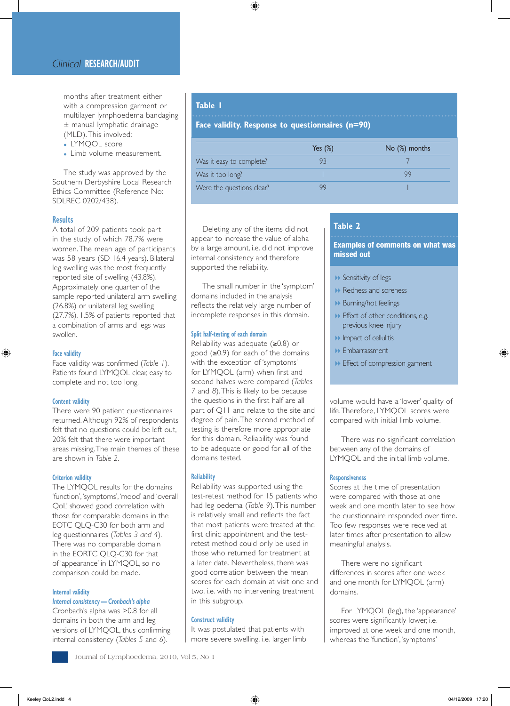#### *Clinical* **RESEARCH/AUDIT**

months after treatment either with a compression garment or multilayer lymphoedema bandaging ± manual lymphatic drainage (MLD). This involved:

- <sup>l</sup>LYMQOL score
- Limb volume measurement.

The study was approved by the Southern Derbyshire Local Research Ethics Committee (Reference No: SDLREC 0202/438).

#### **Results**

A total of 209 patients took part in the study, of which 78.7% were women. The mean age of participants was 58 years (SD 16.4 years). Bilateral leg swelling was the most frequently reported site of swelling (43.8%). Approximately one quarter of the sample reported unilateral arm swelling (26.8%) or unilateral leg swelling (27.7%). 1.5% of patients reported that a combination of arms and legs was swollen.

#### **Face validity**

Face validity was confirmed (*Table 1*). Patients found LYMQOL clear, easy to complete and not too long.

#### **Content validity**

There were 90 patient questionnaires returned. Although 92% of respondents felt that no questions could be left out, 20% felt that there were important areas missing. The main themes of these are shown in *Table 2*.

#### **Criterion validity**

The LYMQOL results for the domains 'function', 'symptoms', 'mood' and 'overall QoL' showed good correlation with those for comparable domains in the EOTC QLQ-C30 for both arm and leg questionnaires (*Tables 3 and 4*). There was no comparable domain in the EORTC QLQ-C30 for that of 'appearance' in LYMQOL, so no comparison could be made.

#### **Internal validity**

#### *Internal consistency — Cronbach's alpha*

Cronbach's alpha was >0.8 for all domains in both the arm and leg versions of LYMQOL, thus confirming internal consistency (*Tables 5* and *6*).

#### **Table 1**

**Face validity. Response to questionnaires (n=90)**

|                           | Yes $(\%)$ | No (%) months |
|---------------------------|------------|---------------|
| Was it easy to complete?  | ч≺         |               |
| Was it too long?          |            |               |
| Were the questions clear? |            |               |

Deleting any of the items did not appear to increase the value of alpha by a large amount, i.e. did not improve internal consistency and therefore supported the reliability.

The small number in the 'symptom' domains included in the analysis reflects the relatively large number of incomplete responses in this domain.

#### **Split half-testing of each domain**

Reliability was adequate (≥0.8) or good (≥0.9) for each of the domains with the exception of 'symptoms' for LYMQOL (arm) when first and second halves were compared (*Tables 7* and *8*). This is likely to be because the questions in the first half are all part of Q11 and relate to the site and degree of pain. The second method of testing is therefore more appropriate for this domain. Reliability was found to be adequate or good for all of the domains tested.

#### **Reliability**

Reliability was supported using the test-retest method for 15 patients who had leg oedema (*Table 9*). This number is relatively small and reflects the fact that most patients were treated at the first clinic appointment and the testretest method could only be used in those who returned for treatment at a later date. Nevertheless, there was good correlation between the mean scores for each domain at visit one and two, i.e. with no intervening treatment in this subgroup.

#### **Construct validity**

It was postulated that patients with more severe swelling, i.e. larger limb

#### **Table 2**

Examples of comments on what was missed out

- **B** Sensitivity of legs
- **1** Redness and soreness
- **Burning/hot feelings**
- $\blacktriangleright$  Effect of other conditions, e.g. previous knee injury
- $\blacktriangleright$  Impact of cellulitis
- 8 Embarrassment
- **B** Effect of compression garment

volume would have a 'lower' quality of life. Therefore, LYMQOL scores were compared with initial limb volume.

There was no significant correlation between any of the domains of LYMQOL and the initial limb volume.

#### **Responsiveness**

Scores at the time of presentation were compared with those at one week and one month later to see how the questionnaire responded over time. Too few responses were received at later times after presentation to allow meaningful analysis.

There were no significant differences in scores after one week and one month for LYMQOL (arm) domains.

For LYMQOL (leg), the 'appearance' scores were significantly lower, i.e. improved at one week and one month, whereas the 'function', 'symptoms'

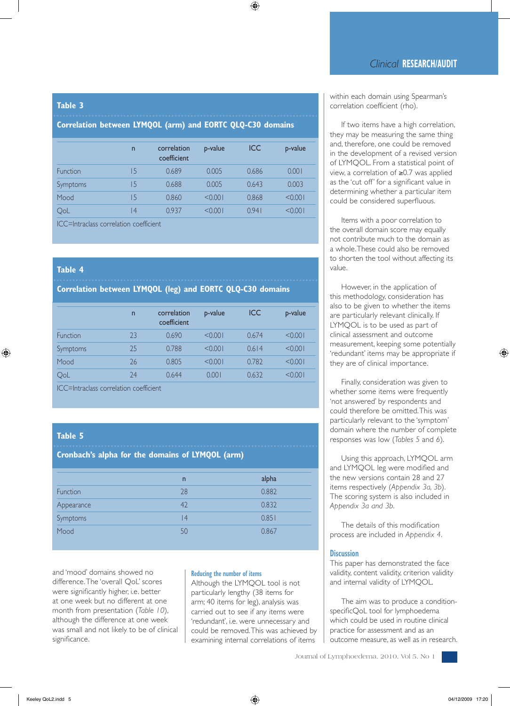#### **Table 3**

#### **Correlation between LYMQOL (arm) and EORTC QLQ-C30 domains**

| $\overline{n}$ | correlation<br>coefficient | p-value | <b>ICC</b> | p-value |
|----------------|----------------------------|---------|------------|---------|
| 5              | 0.689                      | 0.005   | 0.686      | 0.001   |
| 5              | 0.688                      | 0.005   | 0.643      | 0.003   |
| 15             | 0.860                      | < 0.001 | 0.868      | < 0.001 |
| $\overline{4}$ | 0.937                      | < 0.001 | 0941       | < 0.001 |
|                |                            |         |            |         |

ICC=Intraclass correlation coefficient

#### **Table 4**

#### **Correlation between LYMQOL (leg) and EORTC QLQ-C30 domains**

|          | $\mathsf{n}$ | correlation<br>coefficient | p-value | <b>ICC</b> | p-value |
|----------|--------------|----------------------------|---------|------------|---------|
| Function | 23           | 0.690                      | < 0.001 | 0.674      | < 0.001 |
| Symptoms | 25           | 0.788                      | < 0.001 | 0.614      | < 0.001 |
| Mood     | 26           | 0.805                      | < 0.001 | 0.782      | < 0.001 |
| QoL      | 24           | 0.644                      | 0.001   | 0.632      | < 0.001 |

ICC=Intraclass correlation coefficient

#### **Table 5**

#### **Cronbach's alpha for the domains of LYMQOL (arm)**

|            | $\overline{n}$ | alpha |
|------------|----------------|-------|
| Function   | 28             | 0.882 |
| Appearance | 42             | 0.832 |
| Symptoms   | 4              | 0.851 |
| Mood       | 50             | 0.867 |

and 'mood' domains showed no difference. The 'overall QoL' scores were significantly higher, i.e. better at one week but no different at one month from presentation (*Table 10*), although the difference at one week was small and not likely to be of clinical significance.

#### **Reducing the number of items**

Although the LYMQOL tool is not particularly lengthy (38 items for arm; 40 items for leg), analysis was carried out to see if any items were 'redundant', i.e. were unnecessary and could be removed. This was achieved by examining internal correlations of items

within each domain using Spearman's correlation coefficient (rho).

If two items have a high correlation, they may be measuring the same thing and, therefore, one could be removed in the development of a revised version of LYMQOL. From a statistical point of view, a correlation of ≥0.7 was applied as the 'cut off' for a significant value in determining whether a particular item could be considered superfluous.

Items with a poor correlation to the overall domain score may equally not contribute much to the domain as a whole. These could also be removed to shorten the tool without affecting its value.

However, in the application of this methodology, consideration has also to be given to whether the items are particularly relevant clinically. If LYMQOL is to be used as part of clinical assessment and outcome measurement, keeping some potentially 'redundant' items may be appropriate if they are of clinical importance.

Finally, consideration was given to whether some items were frequently 'not answered' by respondents and could therefore be omitted. This was particularly relevant to the 'symptom' domain where the number of complete responses was low (*Tables 5* and *6*).

Using this approach, LYMQOL arm and LYMQOL leg were modified and the new versions contain 28 and 27 items respectively (*Appendix 3a, 3b*). The scoring system is also included in *Appendix 3a and 3b*.

The details of this modification process are included in *Appendix 4*.

#### **Discussion**

This paper has demonstrated the face validity, content validity, criterion validity and internal validity of LYMQOL.

The aim was to produce a conditionspecificQoL tool for lymphoedema which could be used in routine clinical practice for assessment and as an outcome measure, as well as in research.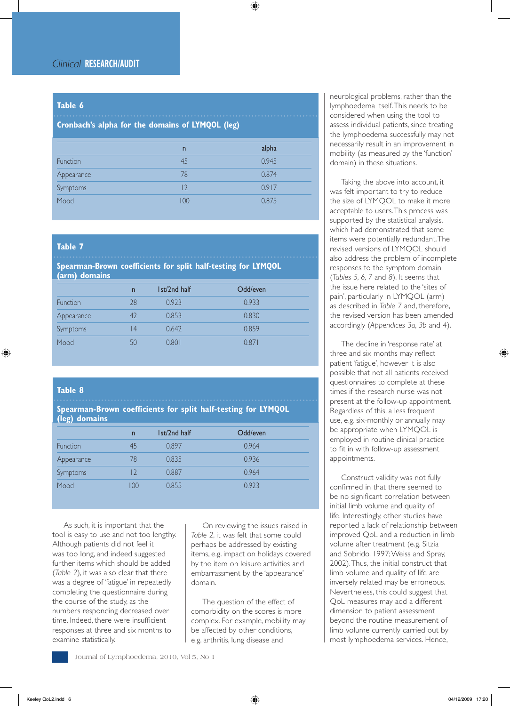#### **Table 6**

#### **Cronbach's alpha for the domains of LYMQOL (leg)**

|            | $\overline{n}$ | alpha |
|------------|----------------|-------|
| Function   | 45             | 0.945 |
| Appearance | 78             | 0.874 |
| Symptoms   | 12             | 0.917 |
| Mood       | 100            | 0.875 |

#### **Table 7**

#### **Spearman-Brown coefficients for split half-testing for LYMQOL (arm) domains**

|            | n  | 1st/2nd half | Odd/even |  |
|------------|----|--------------|----------|--|
| Function   | 28 | 0.923        | 0.933    |  |
| Appearance | 42 | 0.853        | 0.830    |  |
| Symptoms   | 4  | 0.642        | 0.859    |  |
| Mood       | 50 | 0.801        | 0.871    |  |

#### **Table 8**

**Spearman-Brown coefficients for split half-testing for LYMQOL (leg) domains** 

| $\overline{n}$ | 1st/2nd half | Odd/even |  |
|----------------|--------------|----------|--|
| 45             | 0.897        | 0.964    |  |
| 78             | 0.835        | 0.936    |  |
|                | 0.887        | 0.964    |  |
| $($ )()        | 0.855        | 0.923    |  |
|                |              |          |  |

As such, it is important that the tool is easy to use and not too lengthy. Although patients did not feel it was too long, and indeed suggested further items which should be added (*Table 2*), it was also clear that there was a degree of 'fatigue' in repeatedly completing the questionnaire during the course of the study, as the numbers responding decreased over time. Indeed, there were insufficient responses at three and six months to examine statistically.

On reviewing the issues raised in *Table 2*, it was felt that some could perhaps be addressed by existing items, e.g. impact on holidays covered by the item on leisure activities and embarrassment by the 'appearance' domain.

The question of the effect of comorbidity on the scores is more complex. For example, mobility may be affected by other conditions, e.g. arthritis, lung disease and

neurological problems, rather than the lymphoedema itself. This needs to be considered when using the tool to assess individual patients, since treating the lymphoedema successfully may not necessarily result in an improvement in mobility (as measured by the 'function' domain) in these situations.

Taking the above into account, it was felt important to try to reduce the size of LYMQOL to make it more acceptable to users. This process was supported by the statistical analysis, which had demonstrated that some items were potentially redundant. The revised versions of LYMQOL should also address the problem of incomplete responses to the symptom domain (*Tables 5, 6, 7* and *8*). It seems that the issue here related to the 'sites of pain', particularly in LYMQOL (arm) as described in *Table 7* and, therefore, the revised version has been amended accordingly (*Appendices 3a, 3b* and *4*).

The decline in 'response rate' at three and six months may reflect patient 'fatigue', however it is also possible that not all patients received questionnaires to complete at these times if the research nurse was not present at the follow-up appointment. Regardless of this, a less frequent use, e.g. six-monthly or annually may be appropriate when LYMQOL is employed in routine clinical practice to fit in with follow-up assessment appointments.

Construct validity was not fully confirmed in that there seemed to be no significant correlation between initial limb volume and quality of life. Interestingly, other studies have reported a lack of relationship between improved QoL and a reduction in limb volume after treatment (e.g. Sitzia and Sobrido, 1997; Weiss and Spray, 2002). Thus, the initial construct that limb volume and quality of life are inversely related may be erroneous. Nevertheless, this could suggest that QoL measures may add a different dimension to patient assessment beyond the routine measurement of limb volume currently carried out by most lymphoedema services. Hence,

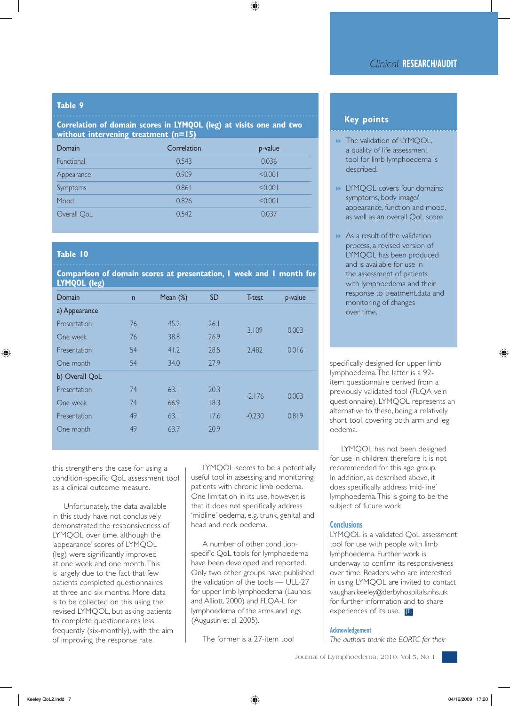#### **Table 9**

#### **Correlation of domain scores in LYMQOL (leg) at visits one and two without intervening treatment (n=15)**

| Domain      | Correlation | p-value |
|-------------|-------------|---------|
| Functional  | 0.543       | 0.036   |
| Appearance  | 0.909       | < 0.001 |
| Symptoms    | 0.861       | < 0.001 |
| Mood        | 0.826       | < 0.001 |
| Overall QoL | 0.542       | 0.037   |

#### **Table 10**

**Comparison of domain scores at presentation, 1 week and 1 month for** 

**LYMQOL (leg)**

| --             |              |             |           |          |         |
|----------------|--------------|-------------|-----------|----------|---------|
| Domain         | $\mathsf{n}$ | Mean $(\%)$ | <b>SD</b> | T-test   | p-value |
| a) Appearance  |              |             |           |          |         |
| Presentation   | 76           | 45.2        | 26.1      | 3.109    | 0.003   |
| One week       | 76           | 38.8        | 26.9      |          |         |
| Presentation   | 54           | 41.2        | 28.5      | 2.482    | 0.016   |
| One month      | 54           | 34.0        | 27.9      |          |         |
| b) Overall QoL |              |             |           |          |         |
| Presentation   | 74           | 63.1        | 20.3      | $-2.176$ | 0.003   |
| One week       | 74           | 66.9        | 18.3      |          |         |
| Presentation   | 49           | 63.1        | 17.6      | $-0.230$ | 0.819   |
| One month      | 49           | 63.7        | 20.9      |          |         |

this strengthens the case for using a condition-specific QoL assessment tool as a clinical outcome measure.

Unfortunately, the data available in this study have not conclusively demonstrated the responsiveness of LYMQOL over time, although the 'appearance' scores of LYMQOL (leg) were significantly improved at one week and one month. This is largely due to the fact that few patients completed questionnaires at three and six months. More data is to be collected on this using the revised LYMQOL, but asking patients to complete questionnaires less frequently (six-monthly), with the aim of improving the response rate.

LYMQOL seems to be a potentially useful tool in assessing and monitoring patients with chronic limb oedema. One limitation in its use, however, is that it does not specifically address 'midline' oedema, e.g. trunk, genital and head and neck oedema.

A number of other conditionspecific QoL tools for lymphoedema have been developed and reported. Only two other groups have published the validation of the tools — ULL-27 for upper limb lymphoedema (Launois and Alliott, 2000) and FLQA-L for lymphoedema of the arms and legs (Augustin et al, 2005).

The former is a 27-item tool

#### **Key points**

- **B** The validation of LYMQOL, a quality of life assessment tool for limb lymphoedema is described.
- **BELYMOOL covers four domains:** symptoms, body image/ appearance, function and mood, as well as an overall QoL score.
- $\blacktriangleright$  As a result of the validation process, a revised version of LYMQOL has been produced and is available for use in the assessment of patients with lymphoedema and their response to treatment.data and monitoring of changes over time.

specifically designed for upper limb lymphoedema. The latter is a 92 item questionnaire derived from a previously validated tool (FLQA vein questionnaire). LYMQOL represents an alternative to these, being a relatively short tool, covering both arm and leg oedema.

LYMQOL has not been designed for use in children, therefore it is not recommended for this age group. In addition, as described above, it does specifically address 'mid-line' lymphoedema. This is going to be the subject of future work

#### **Conclusions**

LYMQOL is a validated QoL assessment tool for use with people with limb lymphoedema. Further work is underway to confirm its responsiveness over time. Readers who are interested in using LYMQOL are invited to contact vaughan.keeley@derbyhospitals.nhs.uk for further information and to share experiences of its use. **JL**

#### **Acknowledgement**

*The authors thank the EORTC for their*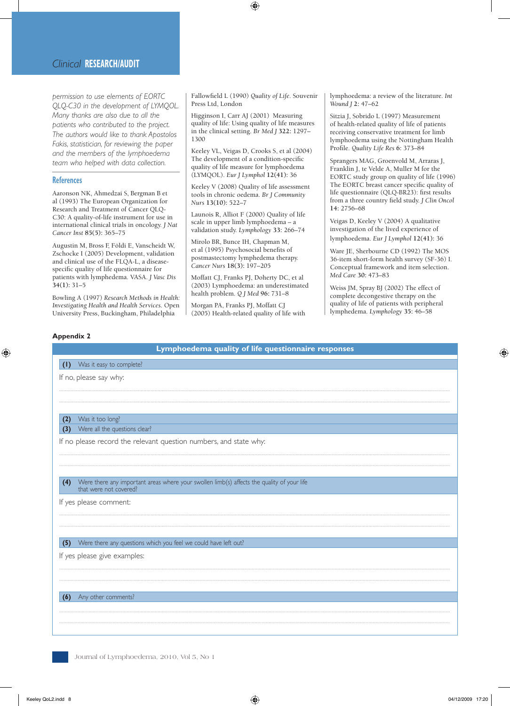*permission to use elements of EORTC QLQ-C30 in the development of LYMQOL. Many thanks are also due to all the patients who contributed to the project. The authors would like to thank Apostolos Fakis, statistician, for reviewing the paper and the members of the lymphoedema team who helped with data collection.* 

#### **References**

Aaronson NK, Ahmedzai S, Bergman B et al (1993) The European Organization for Research and Treatment of Cancer QLQ-C30: A quality-of-life instrument for use in international clinical trials in oncology. *J Nat Cancer Inst* **85(5):** 365–75

Augustin M, Bross F, Földi E, Vanscheidt W, Zschocke I (2005) Development, validation and clinical use of the FLQA-L, a diseasespecific quality of life questionnaire for patients with lymphedema. VASA. *J Vasc Dis*  **34(1):** 31–5

Bowling A (1997) *Research Methods in Health: Investigating Health and Health Services*. Open University Press, Buckingham, Philadelphia

Fallowfield L (1990) *Quality of Life*. Souvenir Press Ltd, London

Higginson I, Carr AJ (2001) Measuring quality of life: Using quality of life measures in the clinical setting. *Br Med J* **322:** 1297– 1300

Keeley VL, Veigas D, Crooks S, et al (2004) The development of a condition-specific quality of life measure for lymphoedema (LYMQOL). *Eur J Lymphol* **12(41):** 36

Keeley V (2008) Quality of life assessment tools in chronic oedema. *Br J Community Nurs* **13(10):** 522–7

Launois R, Alliot F (2000) Quality of life scale in upper limb lymphoedema – a validation study. *Lymphology* **33:** 266–74

Mirolo BR, Bunce IH, Chapman M, et al (1995) Psychosocial benefits of postmastectomy lymphedema therapy. *Cancer Nurs* **18(3):** 197–205

Moffatt CJ, Franks PJ, Doherty DC, et al (2003) Lymphoedema: an underestimated health problem. *Q J Med* **96:** 731–8

Morgan PA, Franks PJ, Moffatt CJ (2005) Health-related quality of life with lymphoedema: a review of the literature. *Int Wound J* **2:** 47–62

Sitzia J, Sobrido L (1997) Measurement of health-related quality of life of patients receiving conservative treatment for limb lymphoedema using the Nottingham Health Profile. *Quality Life Res* **6:** 373–84

Sprangers MAG, Groenvold M, Arraras J, Franklin J, te Velde A, Muller M for the EORTC study group on quality of life (1996) The EORTC breast cancer specific quality of life questionnaire (QLQ-BR23): first results from a three country field study. *J Clin Oncol* **14:** 2756–68

Veigas D, Keeley V (2004) A qualitative investigation of the lived experience of lymphoedema. *Eur J Lymphol* **12(41):** 36

Ware JE, Sherbourne CD (1992) The MOS 36-item short-form health survey (SF-36) I. Conceptual framework and item selection. *Med Care* **30:** 473–83

Weiss JM, Spray BJ (2002) The effect of complete decongestive therapy on the quality of life of patients with peripheral lymphedema. *Lymphology* **35:** 46–58

#### **Appendix 2**

### **Lymphoedema quality of life questionnaire responses (1)** Was it easy to complete? **(5)** Were there any questions which you feel we could have left out? **(6)** Any other comments? **(4)** Were there any important areas where your swollen limb(s) affects the quality of your life that were not covered? **(2)** Was it too long? **(3)** Were all the questions clear? If no, please say why: ...................................................................................................................................................................................................................................................................................... ...................................................................................................................................................................................................................................................................................... If yes please give examples: ...................................................................................................................................................................................................................................................................................... ...................................................................................................................................................................................................................................................................................... ...................................................................................................................................................................................................................................................................................... ...................................................................................................................................................................................................................................................................................... If yes please comment: ...................................................................................................................................................................................................................................................................................... ...................................................................................................................................................................................................................................................................................... If no please record the relevant question numbers, and state why: ...................................................................................................................................................................................................................................................................................... ......................................................................................................................................................................................................................................................................................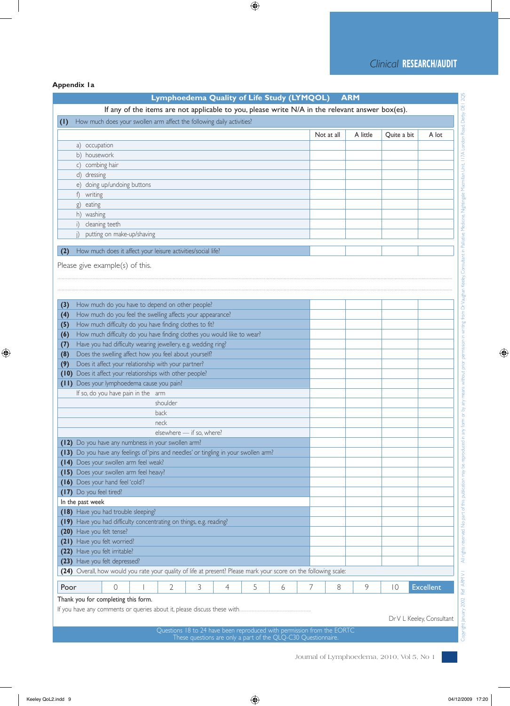#### **Appendix 1a**

|      |                                                                                                                  |  |                           |   |   |   | Lymphoedema Quality of Life Study (LYMQOL) |   |            | <b>ARM</b>                                                                                      |             |                  |
|------|------------------------------------------------------------------------------------------------------------------|--|---------------------------|---|---|---|--------------------------------------------|---|------------|-------------------------------------------------------------------------------------------------|-------------|------------------|
|      |                                                                                                                  |  |                           |   |   |   |                                            |   |            | If any of the items are not applicable to you, please write N/A in the relevant answer box(es). |             |                  |
| (1)  | How much does your swollen arm affect the following daily activities?                                            |  |                           |   |   |   |                                            |   |            |                                                                                                 |             |                  |
|      |                                                                                                                  |  |                           |   |   |   |                                            |   | Not at all | A little                                                                                        | Quite a bit | A lot            |
|      | a) occupation                                                                                                    |  |                           |   |   |   |                                            |   |            |                                                                                                 |             |                  |
|      | b) housework                                                                                                     |  |                           |   |   |   |                                            |   |            |                                                                                                 |             |                  |
|      | c) combing hair                                                                                                  |  |                           |   |   |   |                                            |   |            |                                                                                                 |             |                  |
|      | d) dressing                                                                                                      |  |                           |   |   |   |                                            |   |            |                                                                                                 |             |                  |
|      | e) doing up/undoing buttons                                                                                      |  |                           |   |   |   |                                            |   |            |                                                                                                 |             |                  |
|      | writing<br>f)                                                                                                    |  |                           |   |   |   |                                            |   |            |                                                                                                 |             |                  |
|      | eating<br>g)                                                                                                     |  |                           |   |   |   |                                            |   |            |                                                                                                 |             |                  |
|      | h) washing                                                                                                       |  |                           |   |   |   |                                            |   |            |                                                                                                 |             |                  |
|      | cleaning teeth<br>i)                                                                                             |  |                           |   |   |   |                                            |   |            |                                                                                                 |             |                  |
|      | putting on make-up/shaving                                                                                       |  |                           |   |   |   |                                            |   |            |                                                                                                 |             |                  |
|      | How much does it affect your leisure activities/social life?                                                     |  |                           |   |   |   |                                            |   |            |                                                                                                 |             |                  |
|      |                                                                                                                  |  |                           |   |   |   |                                            |   |            |                                                                                                 |             |                  |
|      | Please give example(s) of this.                                                                                  |  |                           |   |   |   |                                            |   |            |                                                                                                 |             |                  |
|      |                                                                                                                  |  |                           |   |   |   |                                            |   |            |                                                                                                 |             |                  |
|      |                                                                                                                  |  |                           |   |   |   |                                            |   |            |                                                                                                 |             |                  |
| (3)  | How much do you have to depend on other people?                                                                  |  |                           |   |   |   |                                            |   |            |                                                                                                 |             |                  |
| (4)  | How much do you feel the swelling affects your appearance?                                                       |  |                           |   |   |   |                                            |   |            |                                                                                                 |             |                  |
| (5)  | How much difficulty do you have finding clothes to fit?                                                          |  |                           |   |   |   |                                            |   |            |                                                                                                 |             |                  |
| (6)  | How much difficulty do you have finding clothes you would like to wear?                                          |  |                           |   |   |   |                                            |   |            |                                                                                                 |             |                  |
| (7)  | Have you had difficulty wearing jewellery, e.g. wedding ring?                                                    |  |                           |   |   |   |                                            |   |            |                                                                                                 |             |                  |
| (8)  | Does the swelling affect how you feel about yourself?                                                            |  |                           |   |   |   |                                            |   |            |                                                                                                 |             |                  |
| (9)  | Does it affect your relationship with your partner?                                                              |  |                           |   |   |   |                                            |   |            |                                                                                                 |             |                  |
| (10) | Does it affect your relationships with other people?                                                             |  |                           |   |   |   |                                            |   |            |                                                                                                 |             |                  |
|      | (11) Does your lymphoedema cause you pain?                                                                       |  |                           |   |   |   |                                            |   |            |                                                                                                 |             |                  |
|      | If so, do you have pain in the arm                                                                               |  |                           |   |   |   |                                            |   |            |                                                                                                 |             |                  |
|      |                                                                                                                  |  | shoulder                  |   |   |   |                                            |   |            |                                                                                                 |             |                  |
|      |                                                                                                                  |  | back                      |   |   |   |                                            |   |            |                                                                                                 |             |                  |
|      |                                                                                                                  |  | neck                      |   |   |   |                                            |   |            |                                                                                                 |             |                  |
|      |                                                                                                                  |  | elsewhere - if so, where? |   |   |   |                                            |   |            |                                                                                                 |             |                  |
|      | (12) Do you have any numbness in your swollen arm?                                                               |  |                           |   |   |   |                                            |   |            |                                                                                                 |             |                  |
|      | (13) Do you have any feelings of 'pins and needles' or tingling in your swollen arm?                             |  |                           |   |   |   |                                            |   |            |                                                                                                 |             |                  |
|      | (14) Does your swollen arm feel weak?                                                                            |  |                           |   |   |   |                                            |   |            |                                                                                                 |             |                  |
|      | (15) Does your swollen arm feel heavy?                                                                           |  |                           |   |   |   |                                            |   |            |                                                                                                 |             |                  |
|      | (16) Does your hand feel 'cold'?                                                                                 |  |                           |   |   |   |                                            |   |            |                                                                                                 |             |                  |
|      | (17) Do you feel tired?                                                                                          |  |                           |   |   |   |                                            |   |            |                                                                                                 |             |                  |
|      | In the past week                                                                                                 |  |                           |   |   |   |                                            |   |            |                                                                                                 |             |                  |
|      | (18) Have you had trouble sleeping?                                                                              |  |                           |   |   |   |                                            |   |            |                                                                                                 |             |                  |
|      | (19) Have you had difficulty concentrating on things, e.g. reading?                                              |  |                           |   |   |   |                                            |   |            |                                                                                                 |             |                  |
|      | (20) Have you felt tense?                                                                                        |  |                           |   |   |   |                                            |   |            |                                                                                                 |             |                  |
|      | (21) Have you felt worried?                                                                                      |  |                           |   |   |   |                                            |   |            |                                                                                                 |             |                  |
|      | (22) Have you felt irritable?                                                                                    |  |                           |   |   |   |                                            |   |            |                                                                                                 |             |                  |
|      | (23) Have you felt depressed?                                                                                    |  |                           |   |   |   |                                            |   |            |                                                                                                 |             |                  |
|      | (24) Overall, how would you rate your quality of life at present? Please mark your score on the following scale: |  |                           |   |   |   |                                            |   |            |                                                                                                 |             |                  |
|      |                                                                                                                  |  |                           |   |   |   |                                            |   |            |                                                                                                 |             |                  |
| Poor | 0                                                                                                                |  | 2                         | 3 | 4 | 5 | 6                                          | 7 | 8          | 9                                                                                               | 10          | <b>Excellent</b> |

Questions 18 to 24 have been reproduced with permission from the EORTC These questions are only a part of the QLQ-C30 Questionnaire.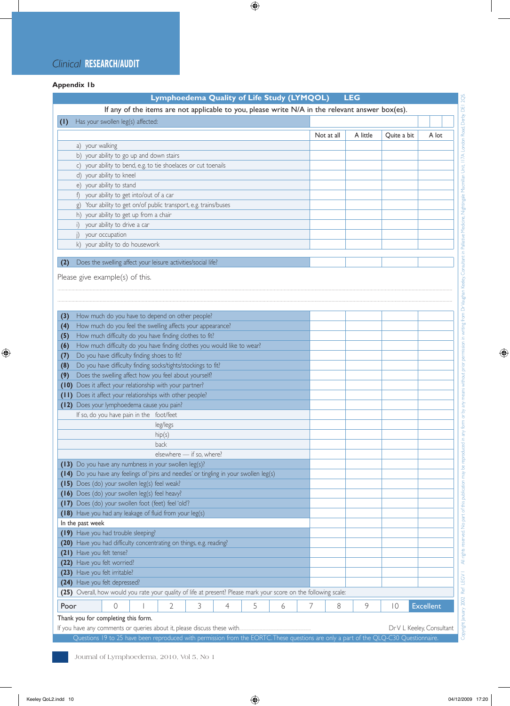#### *Clinical* **RESEARCH/AUDIT**

#### **Appendix 1b**

|                                                                                                                  |                                                                                                 | Lymphoedema Quality of Life Study (LYMQOL) |   |   |   |   |   |            | <b>LEG</b> |                |                  |
|------------------------------------------------------------------------------------------------------------------|-------------------------------------------------------------------------------------------------|--------------------------------------------|---|---|---|---|---|------------|------------|----------------|------------------|
|                                                                                                                  | If any of the items are not applicable to you, please write N/A in the relevant answer box(es). |                                            |   |   |   |   |   |            |            |                |                  |
| $\left( 1\right)$                                                                                                | Has your swollen leg(s) affected:                                                               |                                            |   |   |   |   |   |            |            |                |                  |
|                                                                                                                  |                                                                                                 |                                            |   |   |   |   |   | Not at all | A little   | Quite a bit    | A lot            |
| a) your walking                                                                                                  |                                                                                                 |                                            |   |   |   |   |   |            |            |                |                  |
|                                                                                                                  | b) your ability to go up and down stairs                                                        |                                            |   |   |   |   |   |            |            |                |                  |
|                                                                                                                  | c) your ability to bend, e.g. to tie shoelaces or cut toenails                                  |                                            |   |   |   |   |   |            |            |                |                  |
| d) your ability to kneel                                                                                         |                                                                                                 |                                            |   |   |   |   |   |            |            |                |                  |
| e) your ability to stand                                                                                         |                                                                                                 |                                            |   |   |   |   |   |            |            |                |                  |
|                                                                                                                  | f) your ability to get into/out of a car                                                        |                                            |   |   |   |   |   |            |            |                |                  |
|                                                                                                                  | g) Your ability to get on/of public transport, e.g. trains/buses                                |                                            |   |   |   |   |   |            |            |                |                  |
|                                                                                                                  | h) your ability to get up from a chair                                                          |                                            |   |   |   |   |   |            |            |                |                  |
| i) your ability to drive a car                                                                                   |                                                                                                 |                                            |   |   |   |   |   |            |            |                |                  |
| j) your occupation                                                                                               |                                                                                                 |                                            |   |   |   |   |   |            |            |                |                  |
|                                                                                                                  | k) your ability to do housework                                                                 |                                            |   |   |   |   |   |            |            |                |                  |
|                                                                                                                  |                                                                                                 |                                            |   |   |   |   |   |            |            |                |                  |
| (2)                                                                                                              | Does the swelling affect your leisure activities/social life?                                   |                                            |   |   |   |   |   |            |            |                |                  |
|                                                                                                                  |                                                                                                 |                                            |   |   |   |   |   |            |            |                |                  |
| Please give example(s) of this.                                                                                  |                                                                                                 |                                            |   |   |   |   |   |            |            |                |                  |
|                                                                                                                  |                                                                                                 |                                            |   |   |   |   |   |            |            |                |                  |
|                                                                                                                  |                                                                                                 |                                            |   |   |   |   |   |            |            |                |                  |
| (3)                                                                                                              | How much do you have to depend on other people?                                                 |                                            |   |   |   |   |   |            |            |                |                  |
| (4)                                                                                                              | How much do you feel the swelling affects your appearance?                                      |                                            |   |   |   |   |   |            |            |                |                  |
| (5)                                                                                                              | How much difficulty do you have finding clothes to fit?                                         |                                            |   |   |   |   |   |            |            |                |                  |
| (6)                                                                                                              | How much difficulty do you have finding clothes you would like to wear?                         |                                            |   |   |   |   |   |            |            |                |                  |
| (7)                                                                                                              | Do you have difficulty finding shoes to fit?                                                    |                                            |   |   |   |   |   |            |            |                |                  |
| (8)                                                                                                              | Do you have difficulty finding socks/tights/stockings to fit?                                   |                                            |   |   |   |   |   |            |            |                |                  |
| (9)                                                                                                              | Does the swelling affect how you feel about yourself?                                           |                                            |   |   |   |   |   |            |            |                |                  |
| (10) Does it affect your relationship with your partner?                                                         |                                                                                                 |                                            |   |   |   |   |   |            |            |                |                  |
| (11) Does it affect your relationships with other people?                                                        |                                                                                                 |                                            |   |   |   |   |   |            |            |                |                  |
| (12) Does your lymphoedema cause you pain?                                                                       |                                                                                                 |                                            |   |   |   |   |   |            |            |                |                  |
|                                                                                                                  | If so, do you have pain in the foot/feet                                                        |                                            |   |   |   |   |   |            |            |                |                  |
|                                                                                                                  |                                                                                                 | leg/legs                                   |   |   |   |   |   |            |            |                |                  |
|                                                                                                                  |                                                                                                 | hip(s)                                     |   |   |   |   |   |            |            |                |                  |
|                                                                                                                  |                                                                                                 | back                                       |   |   |   |   |   |            |            |                |                  |
|                                                                                                                  |                                                                                                 | elsewhere - if so, where?                  |   |   |   |   |   |            |            |                |                  |
| (13) Do you have any numbness in your swollen leg(s)?                                                            |                                                                                                 |                                            |   |   |   |   |   |            |            |                |                  |
| (14) Do you have any feelings of 'pins and needles' or tingling in your swollen leg(s)                           |                                                                                                 |                                            |   |   |   |   |   |            |            |                |                  |
| (15) Does (do) your swollen leg(s) feel weak?                                                                    |                                                                                                 |                                            |   |   |   |   |   |            |            |                |                  |
| (16) Does (do) your swollen leg(s) feel heavy?                                                                   |                                                                                                 |                                            |   |   |   |   |   |            |            |                |                  |
| (17) Does (do) your swollen foot (feet) feel 'old'?                                                              |                                                                                                 |                                            |   |   |   |   |   |            |            |                |                  |
| (18) Have you had any leakage of fluid from your leg(s)                                                          |                                                                                                 |                                            |   |   |   |   |   |            |            |                |                  |
| In the past week                                                                                                 |                                                                                                 |                                            |   |   |   |   |   |            |            |                |                  |
| (19) Have you had trouble sleeping?                                                                              |                                                                                                 |                                            |   |   |   |   |   |            |            |                |                  |
| (20) Have you had difficulty concentrating on things, e.g. reading?                                              |                                                                                                 |                                            |   |   |   |   |   |            |            |                |                  |
| (21) Have you felt tense?                                                                                        |                                                                                                 |                                            |   |   |   |   |   |            |            |                |                  |
| (22) Have you felt worried?                                                                                      |                                                                                                 |                                            |   |   |   |   |   |            |            |                |                  |
| (23) Have you felt irritable?                                                                                    |                                                                                                 |                                            |   |   |   |   |   |            |            |                |                  |
| (24) Have you felt depressed?                                                                                    |                                                                                                 |                                            |   |   |   |   |   |            |            |                |                  |
| (25) Overall, how would you rate your quality of life at present? Please mark your score on the following scale: |                                                                                                 |                                            |   |   |   |   |   |            |            |                |                  |
| Poor                                                                                                             | 0                                                                                               | $\overline{2}$                             | 3 | 4 | 5 | 6 | 7 | 8          | 9          | $\overline{0}$ | <b>Excellent</b> |
|                                                                                                                  | Thank you for completing this form.                                                             |                                            |   |   |   |   |   |            |            |                |                  |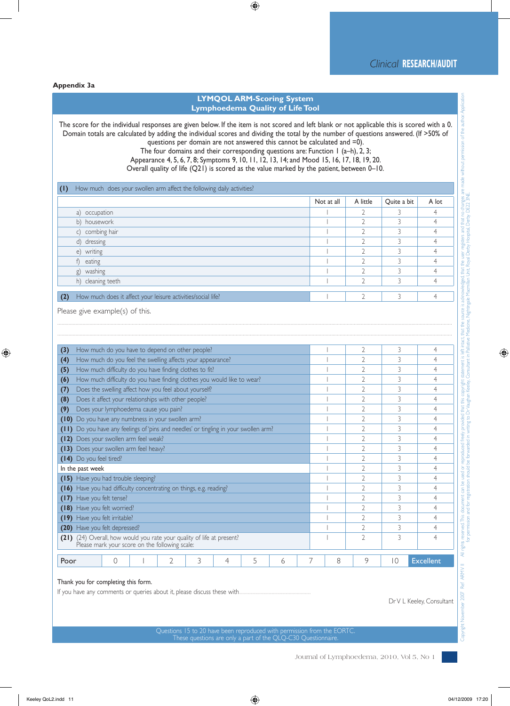#### **Appendix 3a**

#### **LYMQOL ARM-Scoring System Lymphoedema Quality of Life Tool**

The score for the individual responses are given below. If the item is not scored and left blank or not applicable this is scored with a 0. Domain totals are calculated by adding the individual scores and dividing the total by the number of questions answered. (If >50% of questions per domain are not answered this cannot be calculated and =0).

The four domains and their corresponding questions are: Function 1 (a–h), 2, 3;

Appearance 4, 5, 6, 7, 8; Symptoms 9, 10, 11, 12, 13, 14; and Mood 15, 16, 17, 18, 19, 20.

Overall quality of life (Q21) is scored as the value marked by the patient, between 0–10.

|     | How much does your swollen arm affect the following daily activities? |            |                          |             |       |
|-----|-----------------------------------------------------------------------|------------|--------------------------|-------------|-------|
|     |                                                                       | Not at all | A little                 | Quite a bit | A lot |
|     | a) occupation                                                         |            |                          |             | 4     |
|     | b) housework                                                          |            |                          |             |       |
|     | c) combing hair                                                       |            |                          |             |       |
|     | d) dressing                                                           |            | ∍                        |             |       |
|     | e) writing                                                            |            | ∍                        |             |       |
|     | f) eating                                                             |            | $\overline{\phantom{0}}$ |             |       |
|     | g) washing                                                            |            |                          |             |       |
|     | h) cleaning teeth                                                     |            |                          |             |       |
|     |                                                                       |            |                          |             |       |
| (2) | How much does it affect your leisure activities/social life?          |            |                          |             |       |

.........................................................................................................................................................................................................................................................................................

Please give example(s) of this.

| (3)                                                                                                                         | How much do you have to depend on other people?                                 |  |   |   |   |   |   |  |   |                | 3  | 4                |
|-----------------------------------------------------------------------------------------------------------------------------|---------------------------------------------------------------------------------|--|---|---|---|---|---|--|---|----------------|----|------------------|
| (4)                                                                                                                         | How much do you feel the swelling affects your appearance?                      |  |   |   |   |   |   |  |   |                | 3  |                  |
| (5)                                                                                                                         | How much difficulty do you have finding clothes to fit?                         |  |   |   |   |   |   |  |   |                | 3  |                  |
| (6)                                                                                                                         | How much difficulty do you have finding clothes you would like to wear?         |  |   |   |   |   |   |  |   |                | 3  |                  |
| (7)                                                                                                                         | Does the swelling affect how you feel about yourself?                           |  |   |   |   |   |   |  |   |                | 3  |                  |
| (8)                                                                                                                         | Does it affect your relationships with other people?                            |  |   |   |   |   |   |  |   |                | 3  |                  |
| (9)                                                                                                                         | Does your lymphoedema cause you pain?                                           |  |   |   |   |   |   |  |   |                | 3  |                  |
| (10)                                                                                                                        | Do you have any numbness in your swollen arm?                                   |  |   |   |   |   |   |  |   |                | 3  |                  |
| (11)                                                                                                                        | Do you have any feelings of 'pins and needles' or tingling in your swollen arm? |  |   |   |   |   |   |  |   |                | 3  |                  |
| (12)                                                                                                                        | Does your swollen arm feel weak?                                                |  |   |   |   |   |   |  |   |                | 3  |                  |
| (13) Does your swollen arm feel heavy?                                                                                      |                                                                                 |  |   |   |   |   |   |  |   |                | 3  |                  |
| (14) Do you feel tired?                                                                                                     |                                                                                 |  |   |   |   |   |   |  |   |                | 3  |                  |
| In the past week                                                                                                            |                                                                                 |  |   |   |   |   |   |  |   |                | 3  |                  |
| (15) Have you had trouble sleeping?                                                                                         |                                                                                 |  |   |   |   |   |   |  |   |                | 3  |                  |
| (16) Have you had difficulty concentrating on things, e.g. reading?                                                         |                                                                                 |  |   |   |   |   |   |  |   |                | 3  |                  |
| Have you felt tense?<br>(17)                                                                                                |                                                                                 |  |   |   |   |   |   |  |   |                | 3  |                  |
| (18)                                                                                                                        | Have you felt worried?                                                          |  |   |   |   |   |   |  |   |                | 3  |                  |
| Have you felt irritable?<br>(19)                                                                                            |                                                                                 |  |   |   |   |   |   |  |   |                | 3  |                  |
| Have you felt depressed?<br>(20)                                                                                            |                                                                                 |  |   |   |   |   |   |  |   | $\overline{2}$ | 3  |                  |
| (24) Overall, how would you rate your quality of life at present?<br>(21)<br>Please mark your score on the following scale: |                                                                                 |  |   |   |   |   |   |  |   | $\mathcal{D}$  | 3  |                  |
|                                                                                                                             |                                                                                 |  |   |   |   |   |   |  |   |                |    |                  |
| Poor                                                                                                                        | $\left( \right)$                                                                |  | 2 | 3 | 4 | 5 | 6 |  | 8 | 9              | 10 | <b>Excellent</b> |

#### Thank you for completing this form.

If you have any comments or queries about it, please discuss these with.

Dr V L Keeley, Consultant

Questions 15 to 20 have been reproduced with permission from the EORTC. These questions are only a part of the QLQ-C30 Questionnaire.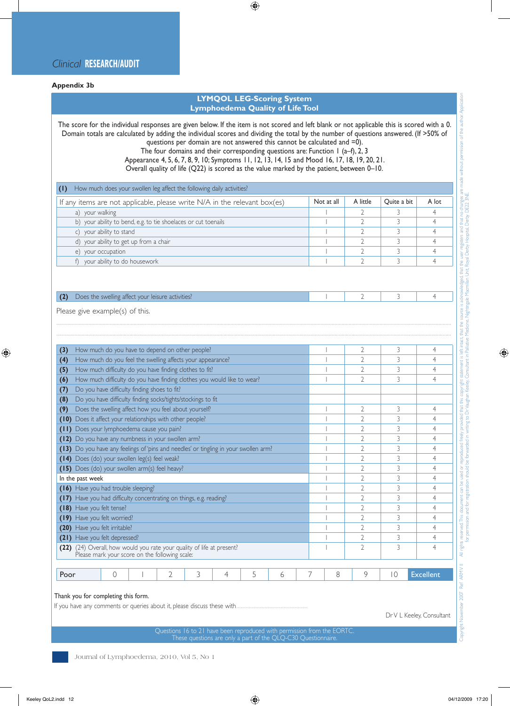#### **Appendix 3b**

#### **LYMQOL LEG-Scoring System Lymphoedema Quality of Life Tool**

The score for the individual responses are given below. If the item is not scored and left blank or not applicable this is scored with a 0. Domain totals are calculated by adding the individual scores and dividing the total by the number of questions answered. (If >50% of questions per domain are not answered this cannot be calculated and =0).

The four domains and their corresponding questions are: Function 1 (a–f), 2, 3

Appearance 4, 5, 6, 7, 8, 9, 10; Symptoms 11, 12, 13, 14, 15 and Mood 16, 17, 18, 19, 20, 21.

Overall quality of life (Q22) is scored as the value marked by the patient, between 0–10.

| How much does your swollen leg affect the following daily activities?       |            |          |             |       |  |  |  |  |  |  |
|-----------------------------------------------------------------------------|------------|----------|-------------|-------|--|--|--|--|--|--|
| If any items are not applicable, please write $N/A$ in the relevant box(es) | Not at all | A little | Quite a bit | A lot |  |  |  |  |  |  |
| your walking<br>a)                                                          |            |          |             |       |  |  |  |  |  |  |
| b) your ability to bend, e.g. to tie shoelaces or cut toenails              |            |          |             |       |  |  |  |  |  |  |
| your ability to stand                                                       |            |          |             |       |  |  |  |  |  |  |
| d) your ability to get up from a chair                                      |            |          |             |       |  |  |  |  |  |  |
| your occupation<br>e)                                                       |            |          |             |       |  |  |  |  |  |  |
| your ability to do housework                                                |            |          |             |       |  |  |  |  |  |  |
|                                                                             |            |          |             |       |  |  |  |  |  |  |

.........................................................................................................................................................................................................................................................................................

#### **(2)** Does the swelling affect your leisure activities? 1 2 4 4

Please give example(s) of this.

| (3)                                                                                                                         | How much do you have to depend on other people?                                 |   |                                                                         |   |   |   |   |   |   |                | $\overline{2}$ | 3  | 4                |
|-----------------------------------------------------------------------------------------------------------------------------|---------------------------------------------------------------------------------|---|-------------------------------------------------------------------------|---|---|---|---|---|---|----------------|----------------|----|------------------|
| (4)                                                                                                                         | How much do you feel the swelling affects your appearance?                      |   |                                                                         |   |   |   |   |   |   |                | $\overline{2}$ | 3  | 4                |
| (5)                                                                                                                         | How much difficulty do you have finding clothes to fit?                         |   |                                                                         |   |   |   |   |   |   |                | $\overline{2}$ | 3  | 4                |
| (6)                                                                                                                         |                                                                                 |   | How much difficulty do you have finding clothes you would like to wear? |   |   |   |   |   |   |                | $\overline{2}$ | 3  | 4                |
| (7)                                                                                                                         |                                                                                 |   | Do you have difficulty finding shoes to fit?                            |   |   |   |   |   |   |                |                |    |                  |
| (8)                                                                                                                         | Do you have difficulty finding socks/tights/stockings to fit                    |   |                                                                         |   |   |   |   |   |   |                |                |    |                  |
| (9)                                                                                                                         | Does the swelling affect how you feel about yourself?                           |   |                                                                         |   |   |   |   |   |   |                | $\mathfrak{I}$ | 3  | 4                |
| (10)                                                                                                                        |                                                                                 |   | Does it affect your relationships with other people?                    |   |   |   |   |   |   |                | 2              | 3  | 4                |
| (11)                                                                                                                        |                                                                                 |   | Does your lymphoedema cause you pain?                                   |   |   |   |   |   |   |                |                | 3  | 4                |
| (12)                                                                                                                        |                                                                                 |   | Do you have any numbness in your swollen arm?                           |   |   |   |   |   |   |                | 2              | 3  | $\overline{4}$   |
| (13)                                                                                                                        | Do you have any feelings of 'pins and needles' or tingling in your swollen arm? |   |                                                                         |   |   |   |   |   |   |                |                | 3  | 4                |
| (14)                                                                                                                        | Does (do) your swollen leg(s) feel weak?                                        |   |                                                                         |   |   |   |   |   |   |                |                | 3  | 4                |
|                                                                                                                             | Does (do) your swollen arm(s) feel heavy?<br>(15)                               |   |                                                                         |   |   |   |   |   |   |                | $\overline{2}$ | 3  | 4                |
| In the past week                                                                                                            |                                                                                 |   |                                                                         |   |   |   |   |   |   |                | $\overline{2}$ | 3  | 4                |
|                                                                                                                             | (16) Have you had trouble sleeping?                                             |   |                                                                         |   |   |   |   |   |   |                | $\overline{2}$ | 3  | 4                |
| (17)                                                                                                                        | Have you had difficulty concentrating on things, e.g. reading?                  |   |                                                                         |   |   |   |   |   |   |                | 2              | 3  | 4                |
| (18)                                                                                                                        | Have you felt tense?                                                            |   |                                                                         |   |   |   |   |   |   |                | $\overline{2}$ | 3  | 4                |
| (19)                                                                                                                        | Have you felt worried?                                                          |   |                                                                         |   |   |   |   |   |   |                |                | 3  | 4                |
| (20)                                                                                                                        | Have you felt irritable?                                                        |   |                                                                         |   |   |   |   |   |   |                | $\overline{2}$ | 3  | 4                |
| (21)                                                                                                                        | Have you felt depressed?                                                        |   |                                                                         |   |   |   |   |   |   |                | 2              | 3  | 4                |
| (24) Overall, how would you rate your quality of life at present?<br>(22)<br>Please mark your score on the following scale: |                                                                                 |   |                                                                         |   |   |   |   |   |   | $\overline{2}$ | 3              | 4  |                  |
|                                                                                                                             |                                                                                 |   |                                                                         |   |   |   |   |   |   |                |                |    |                  |
| Poor                                                                                                                        |                                                                                 | 0 |                                                                         | 2 | 3 | 4 | 5 | 6 | 7 | 8              | 9              | 10 | <b>Excellent</b> |

#### Thank you for completing this form.

If you have any comments or queries about it, please discuss these with.

Dr V L Keeley, Consultant

pyright November 2007 Ref ARM V II

Questions 16 to 21 have been reproduced with permission from the EORTC. These questions are only a part of the QLQ-C30 Questionnaire

Copyright November 2007 Ref ARMYVIII Mights reserved.This document can be used or reproduced freely provided that this copyright statement is left iritad, that the source is addrowledged, that the user registers and that n